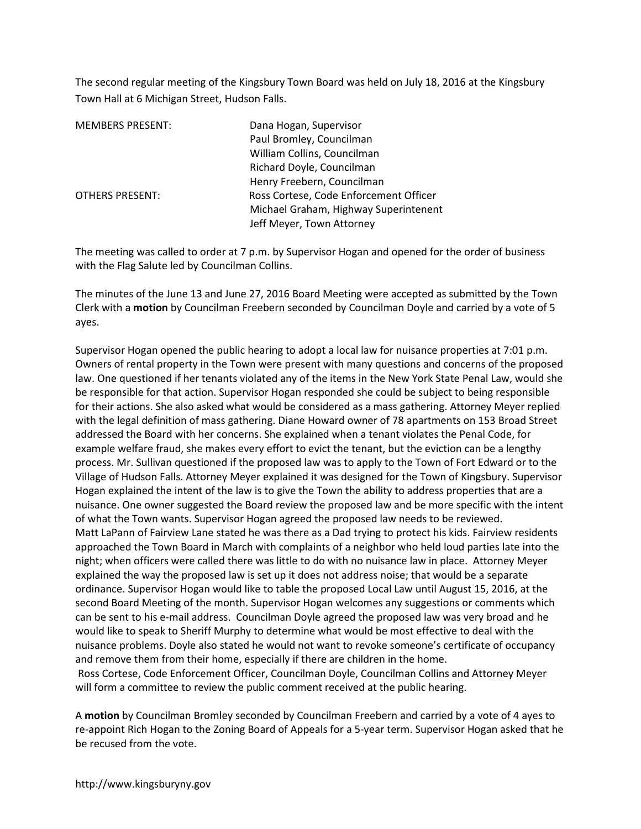The second regular meeting of the Kingsbury Town Board was held on July 18, 2016 at the Kingsbury Town Hall at 6 Michigan Street, Hudson Falls.

| <b>MEMBERS PRESENT:</b> | Dana Hogan, Supervisor                 |
|-------------------------|----------------------------------------|
|                         | Paul Bromley, Councilman               |
|                         | William Collins, Councilman            |
|                         | Richard Doyle, Councilman              |
|                         | Henry Freebern, Councilman             |
| <b>OTHERS PRESENT:</b>  | Ross Cortese, Code Enforcement Officer |
|                         | Michael Graham, Highway Superintenent  |
|                         | Jeff Meyer, Town Attorney              |

The meeting was called to order at 7 p.m. by Supervisor Hogan and opened for the order of business with the Flag Salute led by Councilman Collins.

The minutes of the June 13 and June 27, 2016 Board Meeting were accepted as submitted by the Town Clerk with a **motion** by Councilman Freebern seconded by Councilman Doyle and carried by a vote of 5 ayes.

Supervisor Hogan opened the public hearing to adopt a local law for nuisance properties at 7:01 p.m. Owners of rental property in the Town were present with many questions and concerns of the proposed law. One questioned if her tenants violated any of the items in the New York State Penal Law, would she be responsible for that action. Supervisor Hogan responded she could be subject to being responsible for their actions. She also asked what would be considered as a mass gathering. Attorney Meyer replied with the legal definition of mass gathering. Diane Howard owner of 78 apartments on 153 Broad Street addressed the Board with her concerns. She explained when a tenant violates the Penal Code, for example welfare fraud, she makes every effort to evict the tenant, but the eviction can be a lengthy process. Mr. Sullivan questioned if the proposed law was to apply to the Town of Fort Edward or to the Village of Hudson Falls. Attorney Meyer explained it was designed for the Town of Kingsbury. Supervisor Hogan explained the intent of the law is to give the Town the ability to address properties that are a nuisance. One owner suggested the Board review the proposed law and be more specific with the intent of what the Town wants. Supervisor Hogan agreed the proposed law needs to be reviewed. Matt LaPann of Fairview Lane stated he was there as a Dad trying to protect his kids. Fairview residents approached the Town Board in March with complaints of a neighbor who held loud parties late into the night; when officers were called there was little to do with no nuisance law in place. Attorney Meyer explained the way the proposed law is set up it does not address noise; that would be a separate ordinance. Supervisor Hogan would like to table the proposed Local Law until August 15, 2016, at the second Board Meeting of the month. Supervisor Hogan welcomes any suggestions or comments which can be sent to his e-mail address. Councilman Doyle agreed the proposed law was very broad and he would like to speak to Sheriff Murphy to determine what would be most effective to deal with the nuisance problems. Doyle also stated he would not want to revoke someone's certificate of occupancy and remove them from their home, especially if there are children in the home. Ross Cortese, Code Enforcement Officer, Councilman Doyle, Councilman Collins and Attorney Meyer will form a committee to review the public comment received at the public hearing.

A **motion** by Councilman Bromley seconded by Councilman Freebern and carried by a vote of 4 ayes to re-appoint Rich Hogan to the Zoning Board of Appeals for a 5-year term. Supervisor Hogan asked that he be recused from the vote.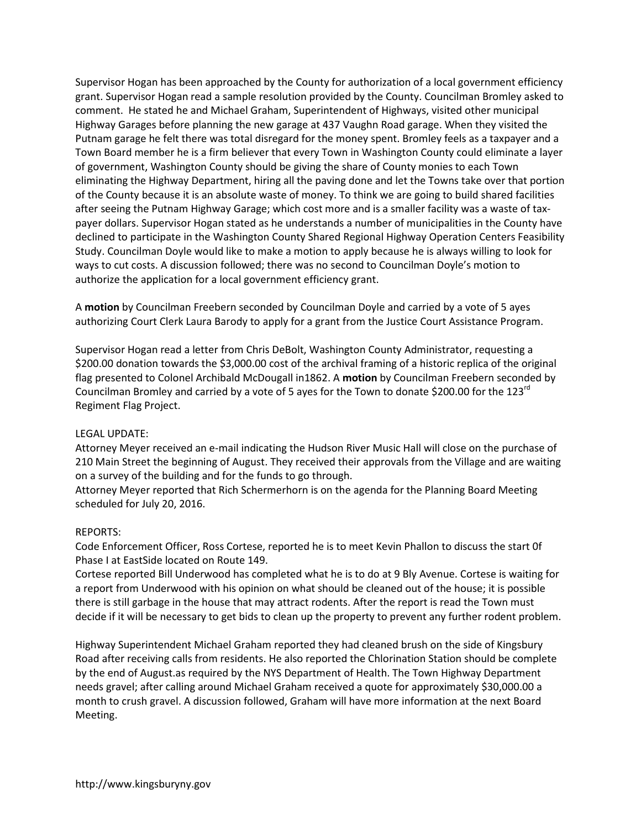Supervisor Hogan has been approached by the County for authorization of a local government efficiency grant. Supervisor Hogan read a sample resolution provided by the County. Councilman Bromley asked to comment. He stated he and Michael Graham, Superintendent of Highways, visited other municipal Highway Garages before planning the new garage at 437 Vaughn Road garage. When they visited the Putnam garage he felt there was total disregard for the money spent. Bromley feels as a taxpayer and a Town Board member he is a firm believer that every Town in Washington County could eliminate a layer of government, Washington County should be giving the share of County monies to each Town eliminating the Highway Department, hiring all the paving done and let the Towns take over that portion of the County because it is an absolute waste of money. To think we are going to build shared facilities after seeing the Putnam Highway Garage; which cost more and is a smaller facility was a waste of taxpayer dollars. Supervisor Hogan stated as he understands a number of municipalities in the County have declined to participate in the Washington County Shared Regional Highway Operation Centers Feasibility Study. Councilman Doyle would like to make a motion to apply because he is always willing to look for ways to cut costs. A discussion followed; there was no second to Councilman Doyle's motion to authorize the application for a local government efficiency grant.

A **motion** by Councilman Freebern seconded by Councilman Doyle and carried by a vote of 5 ayes authorizing Court Clerk Laura Barody to apply for a grant from the Justice Court Assistance Program.

Supervisor Hogan read a letter from Chris DeBolt, Washington County Administrator, requesting a \$200.00 donation towards the \$3,000.00 cost of the archival framing of a historic replica of the original flag presented to Colonel Archibald McDougall in1862. A **motion** by Councilman Freebern seconded by Councilman Bromley and carried by a vote of 5 ayes for the Town to donate \$200.00 for the 123rd Regiment Flag Project.

## LEGAL UPDATE:

Attorney Meyer received an e-mail indicating the Hudson River Music Hall will close on the purchase of 210 Main Street the beginning of August. They received their approvals from the Village and are waiting on a survey of the building and for the funds to go through.

Attorney Meyer reported that Rich Schermerhorn is on the agenda for the Planning Board Meeting scheduled for July 20, 2016.

## REPORTS:

Code Enforcement Officer, Ross Cortese, reported he is to meet Kevin Phallon to discuss the start 0f Phase I at EastSide located on Route 149.

Cortese reported Bill Underwood has completed what he is to do at 9 Bly Avenue. Cortese is waiting for a report from Underwood with his opinion on what should be cleaned out of the house; it is possible there is still garbage in the house that may attract rodents. After the report is read the Town must decide if it will be necessary to get bids to clean up the property to prevent any further rodent problem.

Highway Superintendent Michael Graham reported they had cleaned brush on the side of Kingsbury Road after receiving calls from residents. He also reported the Chlorination Station should be complete by the end of August.as required by the NYS Department of Health. The Town Highway Department needs gravel; after calling around Michael Graham received a quote for approximately \$30,000.00 a month to crush gravel. A discussion followed, Graham will have more information at the next Board Meeting.